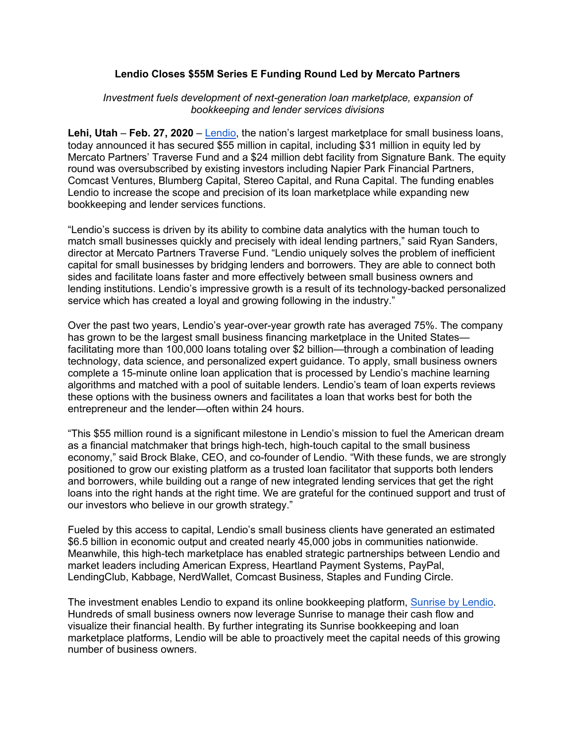## **Lendio Closes \$55M Series E Funding Round Led by Mercato Partners**

## *Investment fuels development of next-generation loan marketplace, expansion of bookkeeping and lender services divisions*

**Lehi, Utah** – **Feb. 27, 2020** – Lendio, the nation's largest marketplace for small business loans, today announced it has secured \$55 million in capital, including \$31 million in equity led by Mercato Partners' Traverse Fund and a \$24 million debt facility from Signature Bank. The equity round was oversubscribed by existing investors including Napier Park Financial Partners, Comcast Ventures, Blumberg Capital, Stereo Capital, and Runa Capital. The funding enables Lendio to increase the scope and precision of its loan marketplace while expanding new bookkeeping and lender services functions.

"Lendio's success is driven by its ability to combine data analytics with the human touch to match small businesses quickly and precisely with ideal lending partners," said Ryan Sanders, director at Mercato Partners Traverse Fund. "Lendio uniquely solves the problem of inefficient capital for small businesses by bridging lenders and borrowers. They are able to connect both sides and facilitate loans faster and more effectively between small business owners and lending institutions. Lendio's impressive growth is a result of its technology-backed personalized service which has created a loyal and growing following in the industry."

Over the past two years, Lendio's year-over-year growth rate has averaged 75%. The company has grown to be the largest small business financing marketplace in the United States facilitating more than 100,000 loans totaling over \$2 billion—through a combination of leading technology, data science, and personalized expert guidance. To apply, small business owners complete a 15-minute online loan application that is processed by Lendio's machine learning algorithms and matched with a pool of suitable lenders. Lendio's team of loan experts reviews these options with the business owners and facilitates a loan that works best for both the entrepreneur and the lender—often within 24 hours.

"This \$55 million round is a significant milestone in Lendio's mission to fuel the American dream as a financial matchmaker that brings high-tech, high-touch capital to the small business economy," said Brock Blake, CEO, and co-founder of Lendio. "With these funds, we are strongly positioned to grow our existing platform as a trusted loan facilitator that supports both lenders and borrowers, while building out a range of new integrated lending services that get the right loans into the right hands at the right time. We are grateful for the continued support and trust of our investors who believe in our growth strategy."

Fueled by this access to capital, Lendio's small business clients have generated an estimated \$6.5 billion in economic output and created nearly 45,000 jobs in communities nationwide. Meanwhile, this high-tech marketplace has enabled strategic partnerships between Lendio and market leaders including American Express, Heartland Payment Systems, PayPal, LendingClub, Kabbage, NerdWallet, Comcast Business, Staples and Funding Circle.

The investment enables Lendio to expand its online bookkeeping platform, Sunrise by Lendio. Hundreds of small business owners now leverage Sunrise to manage their cash flow and visualize their financial health. By further integrating its Sunrise bookkeeping and loan marketplace platforms, Lendio will be able to proactively meet the capital needs of this growing number of business owners.